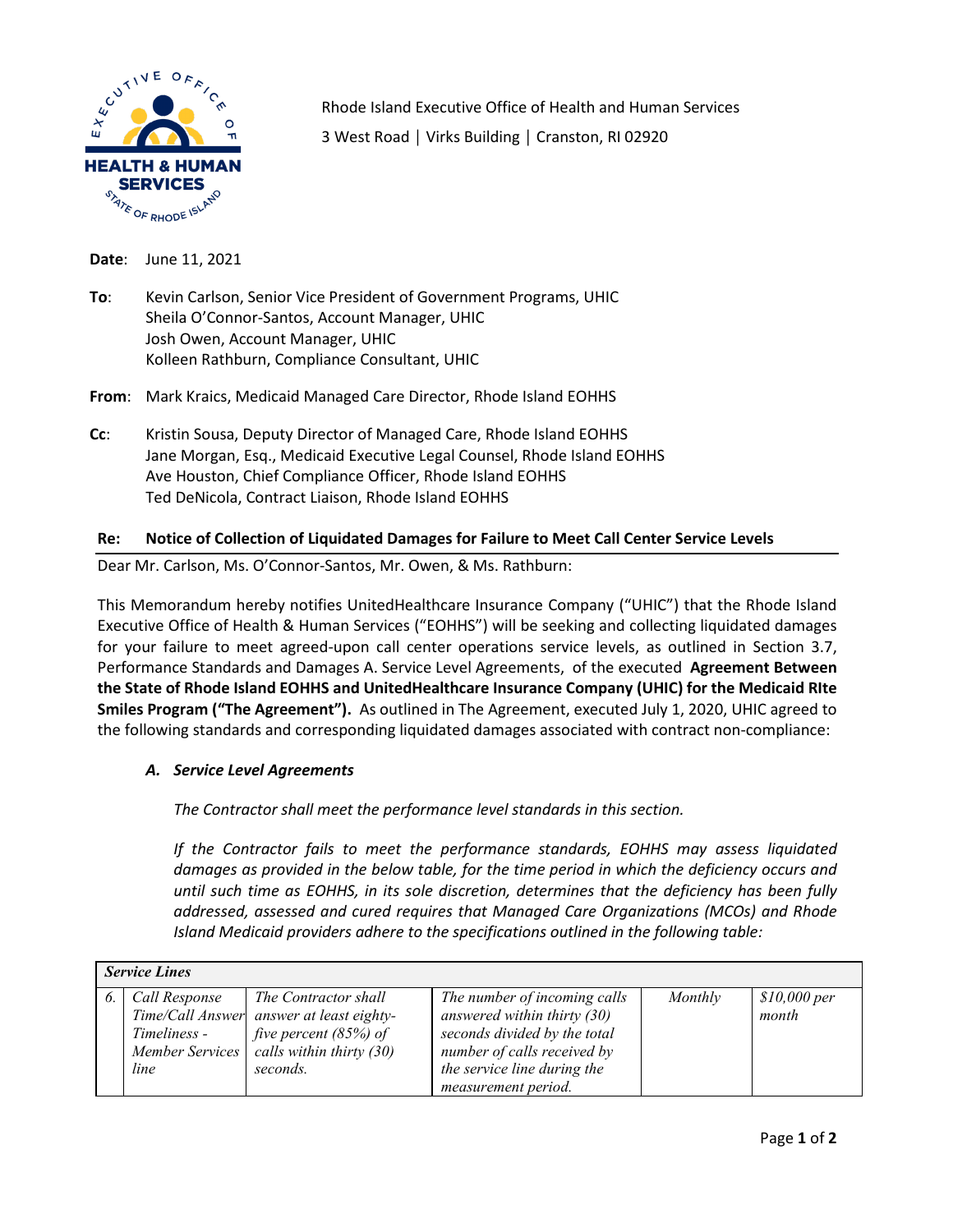

Rhode Island Executive Office of Health and Human Services 3 West Road │ Virks Building │ Cranston, RI 02920

**Date**: June 11, 2021

**To**: Kevin Carlson, Senior Vice President of Government Programs, UHIC Sheila O'Connor-Santos, Account Manager, UHIC Josh Owen, Account Manager, UHIC Kolleen Rathburn, Compliance Consultant, UHIC

**From**: Mark Kraics, Medicaid Managed Care Director, Rhode Island EOHHS

**Cc**: Kristin Sousa, Deputy Director of Managed Care, Rhode Island EOHHS Jane Morgan, Esq., Medicaid Executive Legal Counsel, Rhode Island EOHHS Ave Houston, Chief Compliance Officer, Rhode Island EOHHS Ted DeNicola, Contract Liaison, Rhode Island EOHHS

## **Re: Notice of Collection of Liquidated Damages for Failure to Meet Call Center Service Levels**

Dear Mr. Carlson, Ms. O'Connor-Santos, Mr. Owen, & Ms. Rathburn:

This Memorandum hereby notifies UnitedHealthcare Insurance Company ("UHIC") that the Rhode Island Executive Office of Health & Human Services ("EOHHS") will be seeking and collecting liquidated damages for your failure to meet agreed-upon call center operations service levels, as outlined in Section 3.7, Performance Standards and Damages A. Service Level Agreements, of the executed **Agreement Between the State of Rhode Island EOHHS and UnitedHealthcare Insurance Company (UHIC) for the Medicaid RIte Smiles Program ("The Agreement").** As outlined in The Agreement, executed July 1, 2020, UHIC agreed to the following standards and corresponding liquidated damages associated with contract non-compliance:

## *A. Service Level Agreements*

*The Contractor shall meet the performance level standards in this section.* 

*If the Contractor fails to meet the performance standards, EOHHS may assess liquidated damages as provided in the below table, for the time period in which the deficiency occurs and until such time as EOHHS, in its sole discretion, determines that the deficiency has been fully addressed, assessed and cured requires that Managed Care Organizations (MCOs) and Rhode Island Medicaid providers adhere to the specifications outlined in the following table:*

| <b>Service Lines</b> |                                       |                                                                                                                                                             |                                                                                                                                                                                    |         |                       |  |
|----------------------|---------------------------------------|-------------------------------------------------------------------------------------------------------------------------------------------------------------|------------------------------------------------------------------------------------------------------------------------------------------------------------------------------------|---------|-----------------------|--|
|                      | Call Response<br>Timeliness -<br>line | The Contractor shall<br>Time/Call Answer answer at least eighty-<br>five percent $(85%)$ of<br>Member Services $\vert$ calls within thirty (30)<br>seconds. | The number of incoming calls<br>answered within thirty $(30)$<br>seconds divided by the total<br>number of calls received by<br>the service line during the<br>measurement period. | Monthly | \$10,000~per<br>month |  |